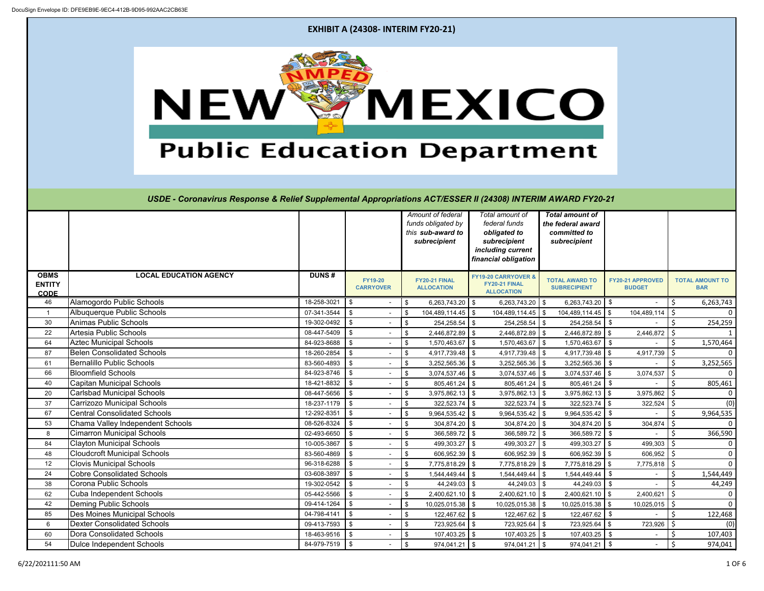

60 Dora Consolidated Schools | 18-463-9516 | \$ - | \$ 107,403.25 | \$ 107,403.25 | \$ 107,403.25 | \$ 107,403.25 | \$ 107,403 54 Dulce Independent Schools 84-979-7519 \$ - \$ 974,041.21 \$ 974,041.21 \$ 974,041.21 \$ - \$ 974,041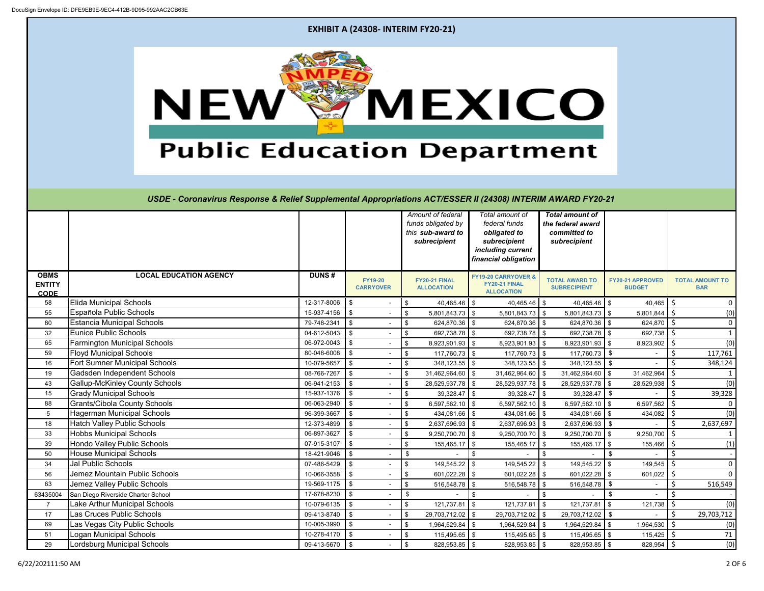

51 |Logan Municipal Schools | 10-278-4170 | \$ - | \$ 115,495.65 | \$ 115,495.65 | \$ 115,495.65 | \$ 115,425 | \$ 115,425 | \$ 71 29 Lordsburg Municipal Schools 09-413-5670 \$ - \$ 828,953.85 \$ 828,953.85 \$ 828,953.85 \$ 828,954 \$ (0)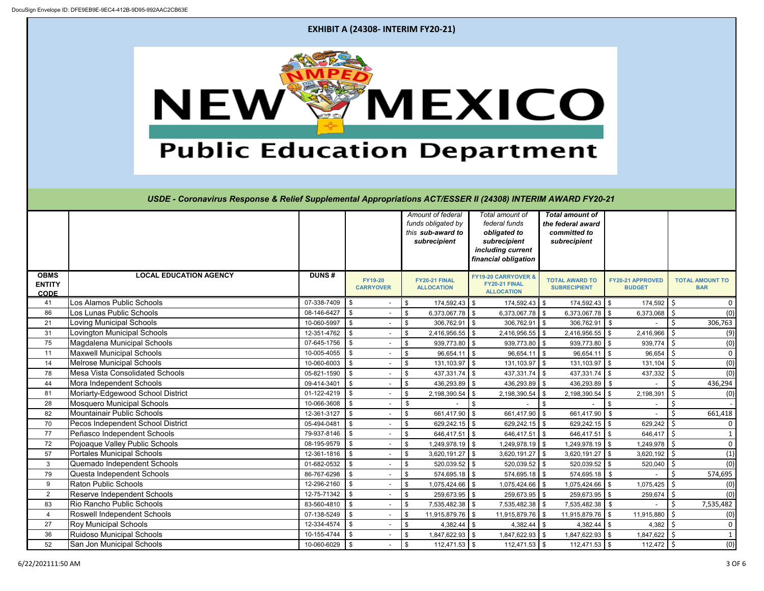

36 Ruidoso Municipal Schools 10-155-4744 \$ - \$ 1,847,622.93 \$ 1,847,622.93 \$ 1,847,622.93 \$ 1,847,622 \$ 1 52 San Jon Municipal Schools 10-060-6029 \$ - \$ 112,471.53 \$ 112,471.53 \$ 112,471.53 \$ 112,472 \$ (0)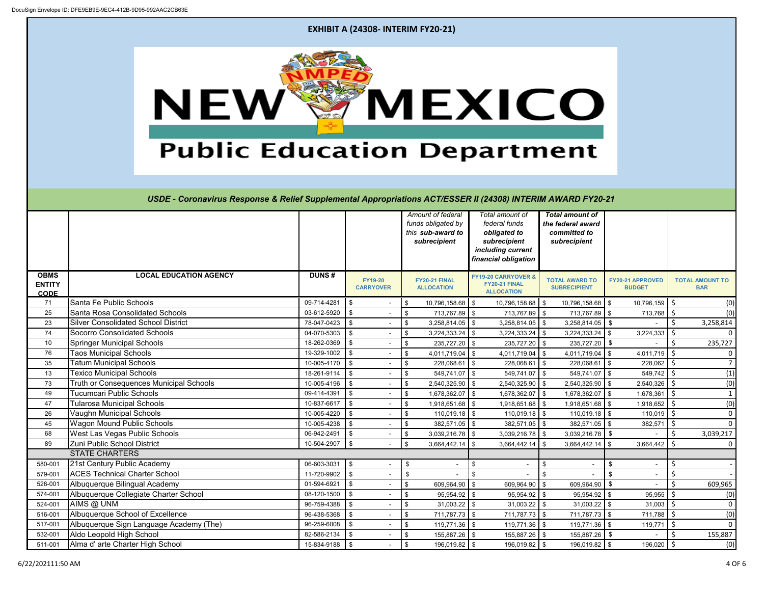|                                                             |                                                                                                             |                                    | <b>EXHIBIT A (24308- INTERIM FY20-21)</b> |            |                                                                              |                                                                                                               |                                                                             |                                          |                                      |  |  |
|-------------------------------------------------------------|-------------------------------------------------------------------------------------------------------------|------------------------------------|-------------------------------------------|------------|------------------------------------------------------------------------------|---------------------------------------------------------------------------------------------------------------|-----------------------------------------------------------------------------|------------------------------------------|--------------------------------------|--|--|
| <b>"MEXICO</b><br>NEW<br><b>Public Education Department</b> |                                                                                                             |                                    |                                           |            |                                                                              |                                                                                                               |                                                                             |                                          |                                      |  |  |
|                                                             | USDE - Coronavirus Response & Relief Supplemental Appropriations ACT/ESSER II (24308) INTERIM AWARD FY20-21 |                                    |                                           |            | Amount of federal<br>funds obligated by<br>this sub-award to<br>subrecipient | Total amount of<br>federal funds<br>obligated to<br>subrecipient<br>including current<br>financial obligation | <b>Total amount of</b><br>the federal award<br>committed to<br>subrecipient |                                          |                                      |  |  |
| <b>OBMS</b><br><b>ENTITY</b>                                | <b>LOCAL EDUCATION AGENCY</b>                                                                               | <b>DUNS#</b>                       | <b>FY19-20</b><br><b>CARRYOVER</b>        |            | FY20-21 FINAL<br><b>ALLOCATION</b>                                           | FY19-20 CARRYOVER &<br>FY20-21 FINAL<br><b>ALLOCATION</b>                                                     | <b>TOTAL AWARD TO</b><br><b>SUBRECIPIENT</b>                                | <b>FY20-21 APPROVED</b><br><b>BUDGET</b> | <b>TOTAL AMOUNT TO</b><br><b>BAR</b> |  |  |
| <b>CODE</b>                                                 |                                                                                                             |                                    |                                           |            |                                                                              |                                                                                                               |                                                                             |                                          |                                      |  |  |
| 71                                                          | Santa Fe Public Schools                                                                                     | 09-714-4281                        | l \$                                      | - \$       | 10,796,158.68 \$                                                             | 10,796,158.68 \$                                                                                              | 10,796,158.68 \$                                                            | $10,796,159$ \$                          | (0)                                  |  |  |
| 25                                                          | Santa Rosa Consolidated Schools                                                                             | 03-612-5920                        | - \$                                      |            | 713,767.89 \$                                                                | 713,767.89 \$                                                                                                 | 713,767.89   \$                                                             | 713,768 \$                               | (0)                                  |  |  |
| 23                                                          | Silver Consolidated School District                                                                         | 78-047-0423 \$                     | $\blacksquare$                            | $\sqrt{3}$ | $3,258,814.05$ \$                                                            | $3,258,814.05$ \$                                                                                             | $3,258,814.05$ \$                                                           |                                          | 3,258,814                            |  |  |
| 74                                                          | Socorro Consolidated Schools                                                                                | 04-070-5303                        | $\frac{1}{3}$                             | \$         | $3,224,333.24$ \$                                                            | $3,224,333.24$ \ \\$                                                                                          | $3,224,333.24$ \$                                                           | 3,224,333                                |                                      |  |  |
| 10                                                          | <b>Springer Municipal Schools</b>                                                                           | 18-262-0369                        | $\vert$ \$                                | -\$        | 235,727.20 \$                                                                | $235,727.20$ \$                                                                                               | 235,727.20 \$                                                               |                                          | 235,727                              |  |  |
| 76                                                          | <b>Taos Municipal Schools</b>                                                                               | 19-329-1002                        | $\vert$ \$                                | -\$        | 4,011,719.04 \$                                                              | 4,011,719.04 $\frac{1}{3}$                                                                                    | $4,011,719.04$ \$                                                           | 4,011,719                                |                                      |  |  |
| 35                                                          | <b>Tatum Municipal Schools</b>                                                                              | 10-005-4170 \$                     |                                           |            | 228,068.61 \$                                                                | $228,068.61$ \$                                                                                               | 228,068.61 \$                                                               | 228,062                                  |                                      |  |  |
| 13                                                          | <b>Texico Municipal Schools</b>                                                                             | 18-261-9114                        | $\frac{1}{3}$                             | -\$        | 549,741.07 \$                                                                | $549,741.07$ \\$                                                                                              | 549,741.07 \$                                                               | $549,742$ \$                             |                                      |  |  |
| 73                                                          | Truth or Consequences Municipal Schools                                                                     | 10-005-4196                        | $\frac{1}{3}$                             | \$         | 2,540,325.90 \$                                                              | $2,540,325.90$ \\$                                                                                            | 2,540,325.90 \$                                                             | $2,540,326$ \$                           | (0)                                  |  |  |
| 49                                                          | Tucumcari Public Schools                                                                                    | 09-414-4391                        | $\frac{1}{3}$                             | -\$        | 1,678,362.07 \$                                                              | 1,678,362.07 \$                                                                                               | 1,678,362.07 \$                                                             | $1,678,361$ \$                           |                                      |  |  |
| 47                                                          | <b>Tularosa Municipal Schools</b>                                                                           | 10-837-6617                        | $\vert$ \$                                | \$         | 1,918,651.68 \$                                                              | $1,918,651.68$ \$                                                                                             | $1,918,651.68$ \$                                                           | 1,918,652                                |                                      |  |  |
| 26                                                          | Vaughn Municipal Schools                                                                                    | 10-005-4220                        |                                           | -\$        | $110,019.18$ \$                                                              | $110,019.18$ \$                                                                                               | $110,019.18$ \$                                                             | 110,019                                  |                                      |  |  |
| 45                                                          | <b>Wagon Mound Public Schools</b>                                                                           | 10-005-4238                        | <b>1 \$</b>                               | \$         | 382,571.05 \$                                                                | $382,571.05$ \$                                                                                               | 382,571.05 \$                                                               | 382,571                                  | (1)<br>(0)<br>0                      |  |  |
| 68                                                          | West Las Vegas Public Schools                                                                               | 06-942-2491                        | l \$<br>$\overline{\phantom{a}}$          | \$         | $3,039,216.78$ \$                                                            | $3,039,216.78$ \\$                                                                                            | $3,039,216.78$ \$                                                           |                                          | 3,039,217                            |  |  |
| 89                                                          | Zuni Public School District                                                                                 | 10-504-2907                        | $\sqrt{ }$                                | \$         | $3,664,442.14$ \$                                                            | $3,664,442.14$ \\$                                                                                            | $3,664,442.14$ \$                                                           | $3,664,442$ \$                           |                                      |  |  |
|                                                             | <b>STATE CHARTERS</b>                                                                                       |                                    |                                           |            |                                                                              |                                                                                                               |                                                                             | $\blacksquare$                           |                                      |  |  |
| 580-001                                                     | 21st Century Public Academy                                                                                 | 06-603-3031                        | $\frac{1}{3}$                             | \$         |                                                                              | - \$                                                                                                          | \$                                                                          | \$                                       |                                      |  |  |
| 579-001                                                     | <b>ACES Technical Charter School</b>                                                                        | 11-720-9902                        | $\vert$ \$<br>l \$                        | \$         |                                                                              | \$                                                                                                            | \$                                                                          | \$                                       | ς.                                   |  |  |
| 528-001                                                     | Albuquerque Bilingual Academy                                                                               | 01-594-6921                        |                                           | \$<br>-\$  | 609,964.90 \$                                                                | 609,964.90 \$                                                                                                 | 609,964.90 \$                                                               |                                          | 609,965<br><sup>\$</sup>             |  |  |
| 574-001<br>524-001                                          | Albuquerque Collegiate Charter School                                                                       | $08-120-1500$ \$<br>96-759-4388 \$ |                                           | -\$        | $95,954.92$ \$                                                               | $95,954.92$ \$                                                                                                | 95,954.92 \$                                                                | 95,955                                   | (0)<br>0                             |  |  |
| 516-001                                                     | AIMS @ UNM<br>Albuquerque School of Excellence                                                              | $96-438-5368$ \$                   | $\overline{\phantom{a}}$                  | -\$        | $31,003.22$ \$<br>711,787.73 \$                                              | $31,003.22$ \$<br>711,787.73 \$                                                                               | $31,003.22$ \$<br>711,787.73 \$                                             | $31,003$   \$<br>711,788   \$            | (0)                                  |  |  |

532-001 Aldo Leopold High School **19th School** 82-586-2134 \$ - \$ 155,887.26 \$ 155,887.26 \$ - \$ 155,887 511-001 Alma d' arte Charter High School **15-834-9188** \$ - \$ 196,019.82 \$ 196,019.82 \$ 196,019.82 \$ 196,020 \$ (0)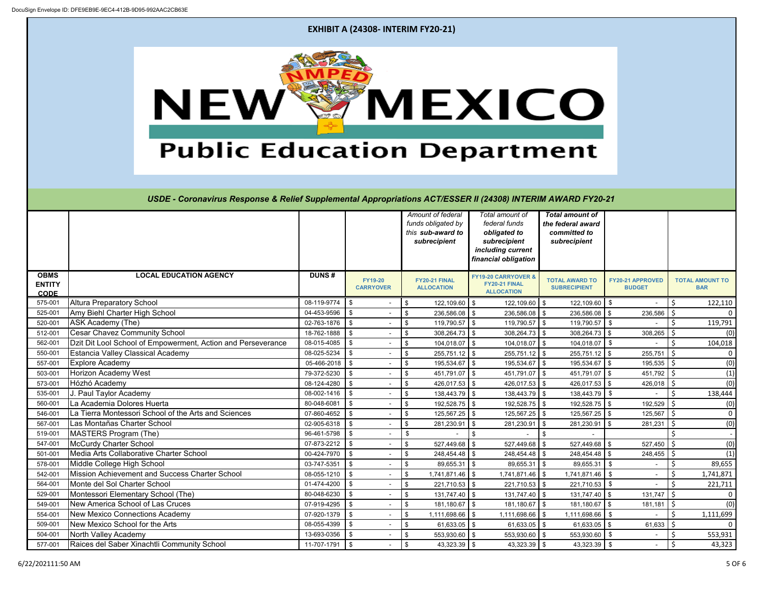

504-001 North Valley Academy 13-693-0356 | \$ 553,930.60 | \$ 553,930.60 | \$ 553,931 \$ 553,931 \$ 553,931 \$ 577-001 Raices del Saber Xinachtli Community School | 11-707-1791 | \$ - \$ 43,323.39 | \$ 43,323.39 | \$ 43,323.39 | \$ 43,323.39 | \$ 43,323.39 | \$ 43,323.39 | \$ 43,323.39 | \$ 43,323.39 | \$ 43,323.39 | \$ 43,323.39 | \$ 43,323.3